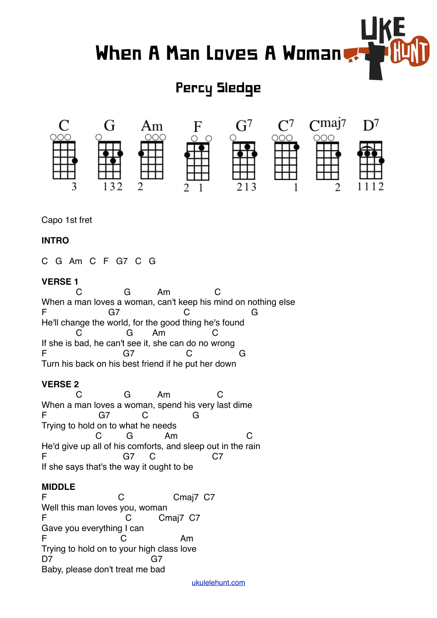# When A Man Loves A Woman

# Percy Sledge



Capo 1st fret

### **INTRO**

C G Am C F G7 C G

### **VERSE 1**

 C G Am C When a man loves a woman, can't keep his mind on nothing else F G7 C G He'll change the world, for the good thing he's found C G Am C If she is bad, he can't see it, she can do no wrong F G7 C G Turn his back on his best friend if he put her down

# **VERSE 2**

 C G Am C When a man loves a woman, spend his very last dime F G7 C G Trying to hold on to what he needs C G Am C He'd give up all of his comforts, and sleep out in the rain F G7 C C7 If she says that's the way it ought to be

# **MIDDLE**

F C C Cmaj7 C7 Well this man loves you, woman F C Cmaj7 C7 Gave you everything I can F C Am Trying to hold on to your high class love D7 G7 Baby, please don't treat me bad